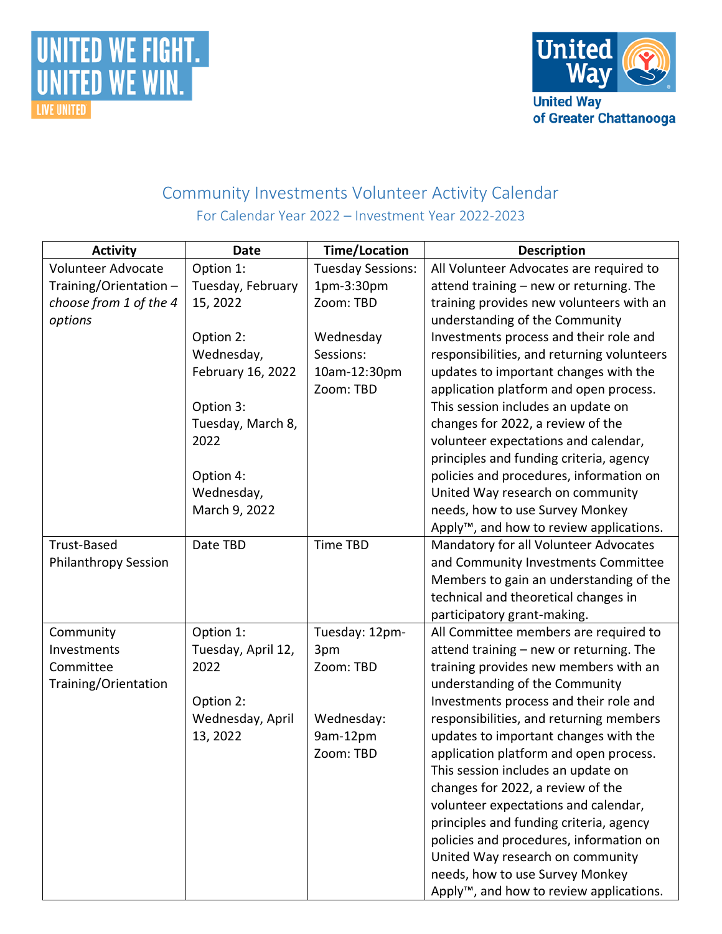



## Community Investments Volunteer Activity Calendar For Calendar Year 2022 – Investment Year 2022-2023

| <b>Activity</b>             | <b>Date</b>        | <b>Time/Location</b>     | <b>Description</b>                                   |
|-----------------------------|--------------------|--------------------------|------------------------------------------------------|
| Volunteer Advocate          | Option 1:          | <b>Tuesday Sessions:</b> | All Volunteer Advocates are required to              |
| Training/Orientation -      | Tuesday, February  | 1pm-3:30pm               | attend training - new or returning. The              |
| choose from 1 of the 4      | 15, 2022           | Zoom: TBD                | training provides new volunteers with an             |
| options                     |                    |                          | understanding of the Community                       |
|                             | Option 2:          | Wednesday                | Investments process and their role and               |
|                             | Wednesday,         | Sessions:                | responsibilities, and returning volunteers           |
|                             | February 16, 2022  | 10am-12:30pm             | updates to important changes with the                |
|                             |                    | Zoom: TBD                | application platform and open process.               |
|                             | Option 3:          |                          | This session includes an update on                   |
|                             | Tuesday, March 8,  |                          | changes for 2022, a review of the                    |
|                             | 2022               |                          | volunteer expectations and calendar,                 |
|                             |                    |                          | principles and funding criteria, agency              |
|                             | Option 4:          |                          | policies and procedures, information on              |
|                             | Wednesday,         |                          | United Way research on community                     |
|                             | March 9, 2022      |                          | needs, how to use Survey Monkey                      |
|                             |                    |                          | Apply <sup>™</sup> , and how to review applications. |
| Trust-Based                 | Date TBD           | <b>Time TBD</b>          | Mandatory for all Volunteer Advocates                |
| <b>Philanthropy Session</b> |                    |                          | and Community Investments Committee                  |
|                             |                    |                          | Members to gain an understanding of the              |
|                             |                    |                          | technical and theoretical changes in                 |
|                             |                    |                          | participatory grant-making.                          |
| Community                   | Option 1:          | Tuesday: 12pm-           | All Committee members are required to                |
| Investments                 | Tuesday, April 12, | 3pm                      | attend training - new or returning. The              |
| Committee                   | 2022               | Zoom: TBD                | training provides new members with an                |
| Training/Orientation        |                    |                          | understanding of the Community                       |
|                             | Option 2:          |                          | Investments process and their role and               |
|                             | Wednesday, April   | Wednesday:               | responsibilities, and returning members              |
|                             | 13, 2022           | 9am-12pm                 | updates to important changes with the                |
|                             |                    | Zoom: TBD                | application platform and open process.               |
|                             |                    |                          | This session includes an update on                   |
|                             |                    |                          | changes for 2022, a review of the                    |
|                             |                    |                          | volunteer expectations and calendar,                 |
|                             |                    |                          | principles and funding criteria, agency              |
|                             |                    |                          | policies and procedures, information on              |
|                             |                    |                          | United Way research on community                     |
|                             |                    |                          | needs, how to use Survey Monkey                      |
|                             |                    |                          | Apply <sup>™</sup> , and how to review applications. |